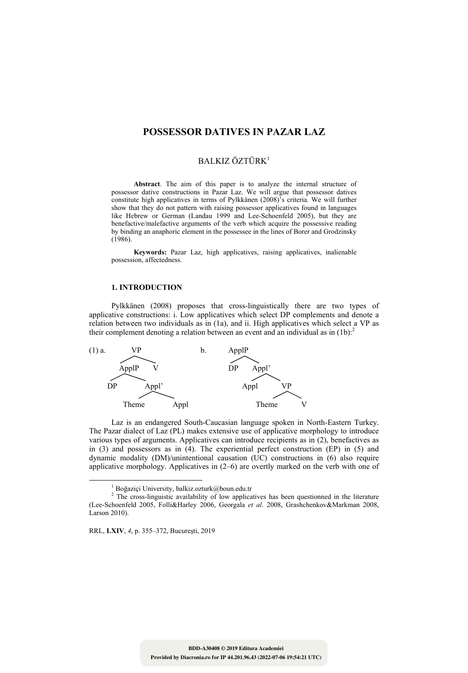## **POSSESSOR DATIVES IN PAZAR LAZ**

# BALKIZ ÖZTÜRK<sup>1</sup>

**Abstract**. The aim of this paper is to analyze the internal structure of possessor dative constructions in Pazar Laz. We will argue that possessor datives constitute high applicatives in terms of Pylkkänen (2008)'s criteria. We will further show that they do not pattern with raising possessor applicatives found in languages like Hebrew or German (Landau 1999 and Lee-Schoenfeld 2005), but they are benefactive/malefactive arguments of the verb which acquire the possessive reading by binding an anaphoric element in the possessee in the lines of Borer and Grodzinsky (1986).

**Keywords:** Pazar Laz, high applicatives, raising applicatives, inalienable possession, affectedness.

#### **1. INTRODUCTION**

Pylkkänen (2008) proposes that cross-linguistically there are two types of applicative constructions: i. Low applicatives which select DP complements and denote a relation between two individuals as in (1a), and ii. High applicatives which select a VP as their complement denoting a relation between an event and an individual as in (1b).<sup>2</sup>



Laz is an endangered South-Caucasian language spoken in North-Eastern Turkey. The Pazar dialect of Laz (PL) makes extensive use of applicative morphology to introduce various types of arguments. Applicatives can introduce recipients as in (2), benefactives as in (3) and possessors as in (4). The experiential perfect construction (EP) in (5) and dynamic modality (DM)/unintentional causation (UC) constructions in (6) also require applicative morphology. Applicatives in (2–6) are overtly marked on the verb with one of

RRL, **LXIV**, *4*, p. 355–372, Bucureşti, 2019

 $\frac{1}{1}$  $1$ Boğaziçi University, balkiz.ozturk@boun.edu.tr

 $2$  The cross-linguistic availability of low applicatives has been questionned in the literature (Lee-Schoenfeld 2005, Folli&Harley 2006, Georgala *et al*. 2008, Grashchenkov&Markman 2008, Larson 2010).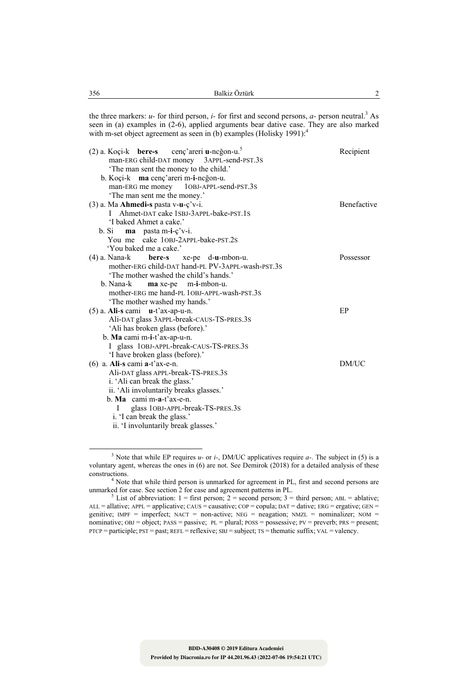the three markers:  $u$ - for third person,  $i$ - for first and second persons,  $a$ - person neutral.<sup>3</sup> As seen in (a) examples in (2-6), applied arguments bear dative case. They are also marked with m-set object agreement as seen in (b) examples (Holisky 1991): $<sup>4</sup>$ </sup>

| $(2)$ a. Koçi-k <b>bere-s</b> cenç'areri <b>u</b> -ncgon-u. <sup>5</sup> | Recipient          |
|--------------------------------------------------------------------------|--------------------|
| man-ERG child-DAT money 3APPL-send-PST.3S                                |                    |
| 'The man sent the money to the child.'                                   |                    |
| b. Koçi-k ma cenç'areri m-i-neğon-u.                                     |                    |
| man-ERG me money 10BJ-APPL-send-PST.3S                                   |                    |
| 'The man sent me the money.'                                             |                    |
| $(3)$ a. Ma <b>Ahmedi-s</b> pasta v-u- $\dot{\mathbf{c}}$ 'v-i.          | <b>Benefactive</b> |
| Ahmet-DAT cake 1SBJ-3APPL-bake-PST.1S<br>$\mathbf{L}$                    |                    |
| 'I baked Ahmet a cake.'                                                  |                    |
| b. Si<br>$\mathbf{ma}$ pasta m-i- $\mathbf{c}'\mathbf{v}$ -i.            |                    |
| You me cake 10BJ-2APPL-bake-PST.2S                                       |                    |
| 'You baked me a cake.'                                                   |                    |
| $(4)$ a. Nana-k<br><b>bere-s</b> xe-pe d- <b>u</b> -mbon-u.              | Possessor          |
| mother-ERG child-DAT hand-PL PV-3APPL-wash-PST.3S                        |                    |
| 'The mother washed the child's hands.'                                   |                    |
| b. Nana-k maxe-pe m-i-mbon-u.                                            |                    |
| mother-ERG me hand-PL 10BJ-APPL-wash-PST.3S                              |                    |
| 'The mother washed my hands.'                                            |                    |
| $(5)$ a. Ali-s cami u-t'ax-ap-u-n.                                       | EP                 |
| Ali-DAT glass 3APPL-break-CAUS-TS-PRES.3S                                |                    |
| 'Ali has broken glass (before).'                                         |                    |
| b. Ma cami m-i-t'ax-ap-u-n.                                              |                    |
| I glass 10BJ-APPL-break-CAUS-TS-PRES.3S                                  |                    |
| 'I have broken glass (before).'                                          |                    |
| $(6)$ a. Ali-s cami a-t'ax-e-n.                                          | DM/UC              |
| Ali-DAT glass APPL-break-TS-PRES.3S                                      |                    |
| i. 'Ali can break the glass.'                                            |                    |
| ii. 'Ali involuntarily breaks glasses.'                                  |                    |
| $b.$ Ma cami m-a-t'ax-e-n.                                               |                    |
| glass 10BJ-APPL-break-TS-PRES.3S                                         |                    |
| i. 'I can break the glass.'                                              |                    |
| ii. 'I involuntarily break glasses.'                                     |                    |

 <sup>3</sup> <sup>3</sup> Note that while EP requires  $u$ - or  $i$ -, DM/UC applicatives require  $a$ -. The subject in (5) is a voluntary agent, whereas the ones in (6) are not. See Demirok (2018) for a detailed analysis of these constructions.

<sup>&</sup>lt;sup>4</sup> Note that while third person is unmarked for agreement in PL, first and second persons are unmarked for case. See section 2 for case and agreement patterns in PL.<br><sup>5</sup> List of abbreviation: 1 = first person; 2 = second person; 3 = third person; ABL = ablative;

ALL = allative; APPL = applicative; CAUS = causative; COP = copula; DAT = dative; ERG = ergative; GEN = genitive;  $IMPF = imperfect$ ;  $NACT = non-active$ ;  $NEG = negation$ ;  $NMZL = nominalizer$ ;  $NOM =$ nominative;  $OBJ = object$ ;  $PAS = passive$ ;  $PL = plural$ ;  $POSS = possessive$ ;  $PV = prevent$ ;  $PRS = present$ ; PTCP = participle; PST = past; REFL = reflexive; SBJ = subject; TS = thematic suffix; VAL = valency.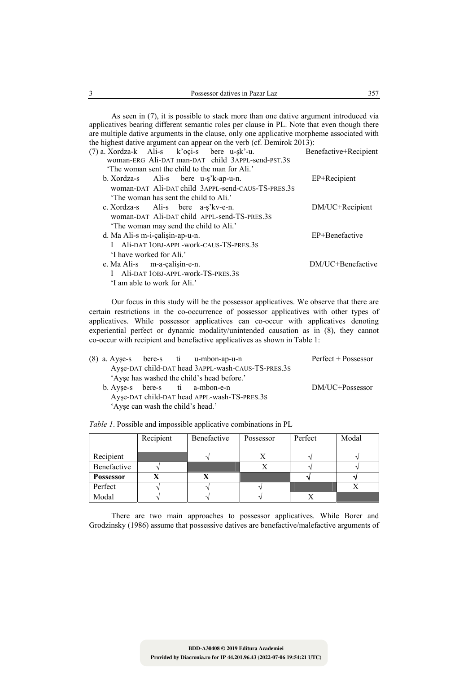As seen in (7), it is possible to stack more than one dative argument introduced via applicatives bearing different semantic roles per clause in PL. Note that even though there are multiple dative arguments in the clause, only one applicative morpheme associated with the highest dative argument can appear on the verb (cf. Demirok 2013):

| (7) a. Xordza-k Ali-s k'oçi-s bere u-şk'-u.        | Benefactive+Recipient |
|----------------------------------------------------|-----------------------|
| woman-ERG Ali-DAT man-DAT child 3APPL-send-PST.3S  |                       |
| The woman sent the child to the man for Ali.'      |                       |
| b. Xordza-s Ali-s bere u-s'k-ap-u-n.               | EP+Recipient          |
| woman-DAT Ali-DAT child 3APPL-send-CAUS-TS-PRES.3S |                       |
| 'The woman has sent the child to Ali.'             |                       |
| c. Xordza-s Ali-s bere a-s'kv-e-n.                 | DM/UC+Recipient       |
| woman-DAT Ali-DAT child APPL-send-TS-PRES.3S       |                       |
| The woman may send the child to Ali.'              |                       |
| d. Ma Ali-s m-i-calisin-ap-u-n.                    | EP+Benefactive        |
| I Ali-DAT 10BJ-APPL-work-CAUS-TS-PRES.3S           |                       |
| 'I have worked for Ali'                            |                       |
| e. Ma Ali-s m-a-calisin-e-n.                       | DM/UC+Benefactive     |
| Ali-DAT 10BJ-APPL-work-TS-PRES.3S<br>$\mathbf{L}$  |                       |
| 'I am able to work for Ali.'                       |                       |
|                                                    |                       |

Our focus in this study will be the possessor applicatives. We observe that there are certain restrictions in the co-occurrence of possessor applicatives with other types of applicatives. While possessor applicatives can co-occur with applicatives denoting experiential perfect or dynamic modality/unintended causation as in (8), they cannot co-occur with recipient and benefactive applicatives as shown in Table 1:

|  |                                   | $(8)$ a. Ayse-s bere-s ti u-mbon-ap-u-n            | Perfect + Possessor |
|--|-----------------------------------|----------------------------------------------------|---------------------|
|  |                                   | Ayse-DAT child-DAT head 3APPL-wash-CAUS-TS-PRES.3S |                     |
|  |                                   | 'Ayse has washed the child's head before.'         |                     |
|  |                                   | b. Ayse-s bere-s ti a-mbon-e-n                     | DM/UC+Possessor     |
|  |                                   | Ayse-DAT child-DAT head APPL-wash-TS-PRES.3S       |                     |
|  | 'Ayse can wash the child's head.' |                                                    |                     |

*Table 1*. Possible and impossible applicative combinations in PL

|                  | Recipient | Benefactive | Possessor | Perfect | Modal |
|------------------|-----------|-------------|-----------|---------|-------|
|                  |           |             |           |         |       |
| Recipient        |           |             |           |         |       |
| Benefactive      |           |             |           |         |       |
| <b>Possessor</b> |           | л           |           |         |       |
| Perfect          |           |             |           |         |       |
| Modal            |           |             |           |         |       |

There are two main approaches to possessor applicatives. While Borer and Grodzinsky (1986) assume that possessive datives are benefactive/malefactive arguments of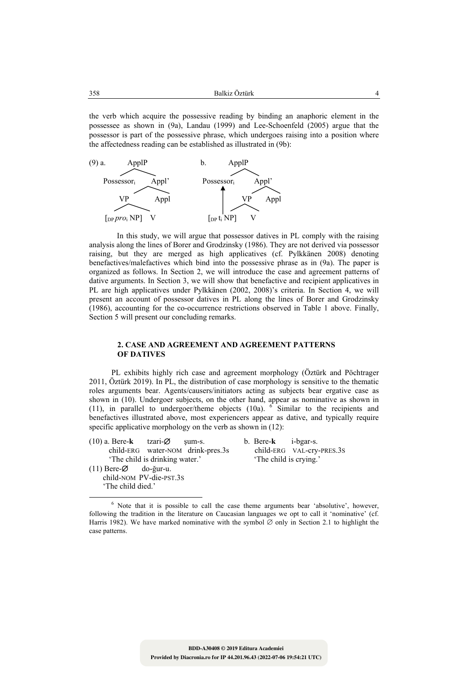|  | 358 | Balkiz Öztürk<br>______ |  |
|--|-----|-------------------------|--|
|--|-----|-------------------------|--|

the verb which acquire the possessive reading by binding an anaphoric element in the possessee as shown in (9a), Landau (1999) and Lee-Schoenfeld (2005) argue that the possessor is part of the possessive phrase, which undergoes raising into a position where the affectedness reading can be established as illustrated in (9b):



 In this study, we will argue that possessor datives in PL comply with the raising analysis along the lines of Borer and Grodzinsky (1986). They are not derived via possessor raising, but they are merged as high applicatives (cf. Pylkkänen 2008) denoting benefactives/malefactives which bind into the possessive phrase as in (9a). The paper is organized as follows. In Section 2, we will introduce the case and agreement patterns of dative arguments. In Section 3, we will show that benefactive and recipient applicatives in PL are high applicatives under Pylkkänen (2002, 2008)'s criteria. In Section 4, we will present an account of possessor datives in PL along the lines of Borer and Grodzinsky (1986), accounting for the co-occurrence restrictions observed in Table 1 above. Finally, Section 5 will present our concluding remarks.

### **2. CASE AND AGREEMENT AND AGREEMENT PATTERNS OF DATIVES**

PL exhibits highly rich case and agreement morphology (Öztürk and Pöchtrager 2011, Öztürk 2019). In PL, the distribution of case morphology is sensitive to the thematic roles arguments bear. Agents/causers/initiators acting as subjects bear ergative case as shown in (10). Undergoer subjects, on the other hand, appear as nominative as shown in (11), in parallel to undergoer/theme objects  $(10a)$ . <sup>6</sup> Similar to the recipients and benefactives illustrated above, most experiencers appear as dative, and typically require specific applicative morphology on the verb as shown in  $(12)$ :

(10) a. Bere-**k** tzari-∅ şum-s. b. Bere-**k** i-bgar-s. child-ERG water-NOM drink-pres.3s child-ERG VAL-cry-PRES.3S 'The child is drinking water.' 'The child is crying.' (11) Bere-∅ do-ğur-u. child-NOM PV-die-PST.3S

'The child died.'

 <sup>6</sup>  $6$  Note that it is possible to call the case theme arguments bear 'absolutive', however, following the tradition in the literature on Caucasian languages we opt to call it 'nominative' (cf. Harris 1982). We have marked nominative with the symbol  $\varnothing$  only in Section 2.1 to highlight the case patterns.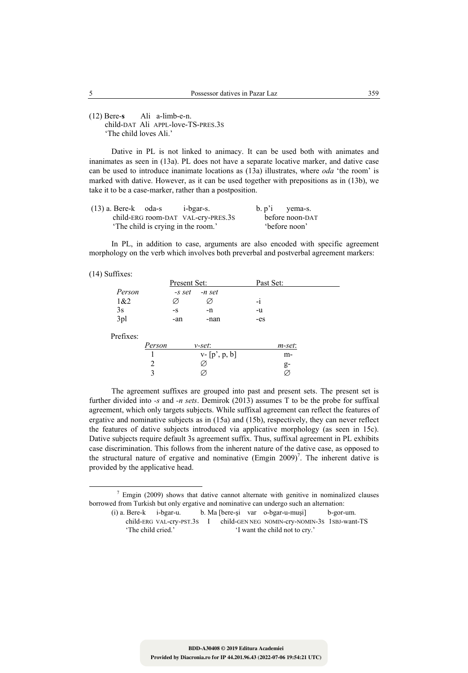(12) Bere-**s** Ali a-limb-e-n. child-DAT Ali APPL-love-TS-PRES.3S 'The child loves Ali.'

Dative in PL is not linked to animacy. It can be used both with animates and inanimates as seen in (13a). PL does not have a separate locative marker, and dative case can be used to introduce inanimate locations as (13a) illustrates, where *oda* 'the room' is marked with dative. However, as it can be used together with prepositions as in (13b), we take it to be a case-marker, rather than a postposition.

| $(13)$ a. Bere-k oda-s             | i-bgar-s. | $b. p'1$ yema-s. |
|------------------------------------|-----------|------------------|
| child-ERG room-DAT VAL-cry-PRES.3S |           | before noon-DAT  |
| 'The child is crying in the room.' |           | before noon'     |

In PL, in addition to case, arguments are also encoded with specific agreement morphology on the verb which involves both preverbal and postverbal agreement markers:

(14) Suffixes:

|           |        | Present Set: |                  | Past Set: |  |
|-----------|--------|--------------|------------------|-----------|--|
| Person    |        | -s set       | -n set           |           |  |
| 1&2       |        | Ø            | Ø                | -i        |  |
| 3s        |        | $-S$         | $-n$             | -u        |  |
| 3pl       |        | -an          | -nan             | $-es$     |  |
| Prefixes: |        |              |                  |           |  |
|           | Person |              | v-set:           | m-set:    |  |
|           |        |              | $v - [p', p, b]$ | m-        |  |
|           | 2      |              | Ø                | g-        |  |
|           | 3      |              | Ø.               |           |  |

The agreement suffixes are grouped into past and present sets. The present set is further divided into *-s* and *-n sets*. Demirok (2013) assumes T to be the probe for suffixal agreement, which only targets subjects. While suffixal agreement can reflect the features of ergative and nominative subjects as in (15a) and (15b), respectively, they can never reflect the features of dative subjects introduced via applicative morphology (as seen in 15c). Dative subjects require default 3s agreement suffix. Thus, suffixal agreement in PL exhibits case discrimination. This follows from the inherent nature of the dative case, as opposed to the structural nature of ergative and nominative  $(Empin 2009)^7$ . The inherent dative is provided by the applicative head.

 $\frac{1}{7}$  $\frac{7}{1}$  Emgin (2009) shows that dative cannot alternate with genitive in nominalized clauses borrowed from Turkish but only ergative and nominative can undergo such an alternation:

<sup>(</sup>i) a. Bere-k i-bgar-u. b. Ma [bere-şi var o-bgar-u-muşi] b-gor-um. child-ERG VAL-cry-PST.3S I child-GEN NEG NOMIN-Cry-NOMIN-3S 1SBJ-want-TS<br>
'The child cried.' 'I want the child not to cry.' 'I want the child not to cry.'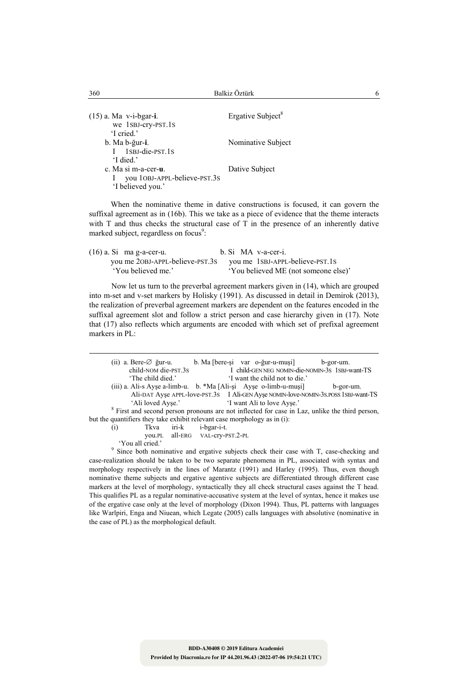(15) a. Ma v-i-bgar-i. Ergative Subject<sup>8</sup> we 1SBJ-cry-PST.1S 'I cried.' b. Ma b-ğur-**i**. Nominative Subject I 1SBJ-die-PST.1S 'I died.' c. Ma si m-a-cer-**u**. Dative Subject I you 1OBJ-APPL-believe-PST.3S 'I believed you.'

 When the nominative theme in dative constructions is focused, it can govern the suffixal agreement as in (16b). This we take as a piece of evidence that the theme interacts with T and thus checks the structural case of T in the presence of an inherently dative marked subject, regardless on focus<sup>9</sup>:

| $(16)$ a. Si ma g-a-cer-u.      | b. Si MA v-a-cer-i.                  |
|---------------------------------|--------------------------------------|
| you me 20BJ-APPL-believe-PST.3S | you me 1SBJ-APPL-believe-PST.1S      |
| 'You believed me.'              | 'You believed ME (not someone else)' |

Now let us turn to the preverbal agreement markers given in (14), which are grouped into m-set and v-set markers by Holisky (1991). As discussed in detail in Demirok (2013), the realization of preverbal agreement markers are dependent on the features encoded in the suffixal agreement slot and follow a strict person and case hierarchy given in (17). Note that (17) also reflects which arguments are encoded with which set of prefixal agreement markers in PL:

|                  | (ii) a. Bere- $\varnothing$ ğur-u.                                                                        |             | b. Ma [bere-si var o-ğur-u-musi]               | b-gor-um. |
|------------------|-----------------------------------------------------------------------------------------------------------|-------------|------------------------------------------------|-----------|
|                  | child-NOM die-PST.3S                                                                                      |             | I child-GENNEG NOMIN-die-NOMIN-3S 1SBJ-want-TS |           |
|                  | 'The child died.'                                                                                         |             | 'I want the child not to die.'                 |           |
|                  | $(iii)$ a. Ali-s Ayse a-limb-u. b. *Ma [Ali-si Ayse o-limb-u-musi]                                        |             |                                                | b-gor-um. |
|                  | Ali-DAT Ayse APPL-love-PST.3S I Ali-GEN Ayse NOMIN-love-NOMIN-3S.POSS 1SBJ-want-TS                        |             |                                                |           |
|                  | 'Ali loved Ayse.'<br>'I want Ali to love Ayse.'                                                           |             |                                                |           |
|                  | <sup>8</sup> First and second person pronouns are not inflected for case in Laz, unlike the third person, |             |                                                |           |
|                  | but the quantifiers they take exhibit relevant case morphology as in (i):                                 |             |                                                |           |
| $\left(1\right)$ | iri-k<br>Tkva                                                                                             | i-bgar-i-t. |                                                |           |
|                  | you.PL all-ERG VAL-CTV-PST.2-PL                                                                           |             |                                                |           |
|                  | 'You all cried.'                                                                                          |             |                                                |           |

 'You all cried.' 9 Since both nominative and ergative subjects check their case with T, case-checking and case-realization should be taken to be two separate phenomena in PL, associated with syntax and morphology respectively in the lines of Marantz (1991) and Harley (1995). Thus, even though nominative theme subjects and ergative agentive subjects are differentiated through different case markers at the level of morphology, syntactically they all check structural cases against the T head. This qualifies PL as a regular nominative-accusative system at the level of syntax, hence it makes use of the ergative case only at the level of morphology (Dixon 1994). Thus, PL patterns with languages like Warlpiri, Enga and Niuean, which Legate (2005) calls languages with absolutive (nominative in the case of PL) as the morphological default.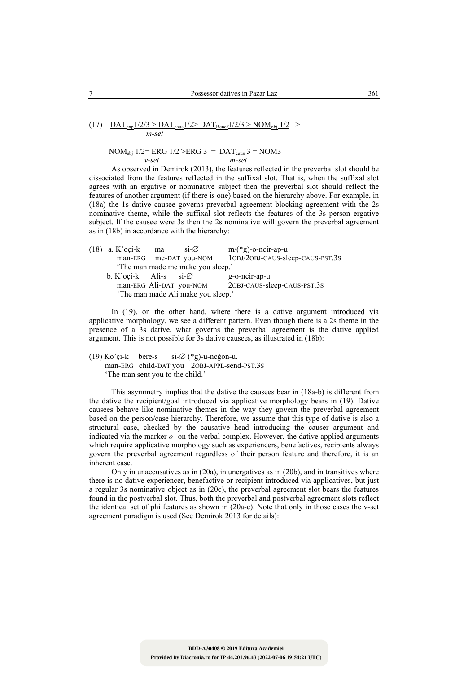(17) 
$$
\frac{\text{DAT}_{\text{exp}}1/2/3 > \text{DAT}_{\text{caus}}1/2 > \text{DAT}_{\text{Benef}}1/2/3 > \text{NOM}_{\text{obj}}1/2 > m\text{-set}}
$$

$$
\frac{\text{NOM}_{\text{sbj}}\ 1/2 = \text{ERG}\ 1/2 > \text{ERG}\ 3}{v\text{-}set} = \frac{\text{DAT}_{\text{caus}}\ 3 = \text{NOM3}}{m\text{-}set}
$$

As observed in Demirok (2013), the features reflected in the preverbal slot should be dissociated from the features reflected in the suffixal slot. That is, when the suffixal slot agrees with an ergative or nominative subject then the preverbal slot should reflect the features of another argument (if there is one) based on the hierarchy above. For example, in (18a) the 1s dative causee governs preverbal agreement blocking agreement with the 2s nominative theme, while the suffixal slot reflects the features of the 3s person ergative subject. If the causee were 3s then the 2s nominative will govern the preverbal agreement as in (18b) in accordance with the hierarchy:

| $(18)$ a. K'oçi-k                  | ma | $si\varnothing$                    | $m/(*g)$ -o-ncir-ap-u            |
|------------------------------------|----|------------------------------------|----------------------------------|
|                                    |    | man-ERG me-DAT you-NOM             | 10BJ/20BJ-CAUS-sleep-CAUS-PST.3S |
|                                    |    | The man made me make you sleep.'   |                                  |
| b. K'oçi-k Ali-s si- $\varnothing$ |    |                                    | g-o-ncir-ap-u                    |
|                                    |    | man-ERG Ali-DAT you-NOM            | 20BJ-CAUS-sleep-CAUS-PST.3S      |
|                                    |    | 'The man made Ali make you sleep.' |                                  |

In (19), on the other hand, where there is a dative argument introduced via applicative morphology, we see a different pattern. Even though there is a 2s theme in the presence of a 3s dative, what governs the preverbal agreement is the dative applied argument. This is not possible for 3s dative causees, as illustrated in (18b):

(19) Ko'çi-k bere-s si-∅ (\*g)-u-ncğon-u. man-ERG child-DAT you 2OBJ-APPL-send-PST.3S 'The man sent you to the child.'

This asymmetry implies that the dative the causees bear in (18a-b) is different from the dative the recipient/goal introduced via applicative morphology bears in (19). Dative causees behave like nominative themes in the way they govern the preverbal agreement based on the person/case hierarchy. Therefore, we assume that this type of dative is also a structural case, checked by the causative head introducing the causer argument and indicated via the marker *o*- on the verbal complex. However, the dative applied arguments which require applicative morphology such as experiencers, benefactives, recipients always govern the preverbal agreement regardless of their person feature and therefore, it is an inherent case.

Only in unaccusatives as in (20a), in unergatives as in (20b), and in transitives where there is no dative experiencer, benefactive or recipient introduced via applicatives, but just a regular 3s nominative object as in (20c), the preverbal agreement slot bears the features found in the postverbal slot. Thus, both the preverbal and postverbal agreement slots reflect the identical set of phi features as shown in (20a-c). Note that only in those cases the v-set agreement paradigm is used (See Demirok 2013 for details):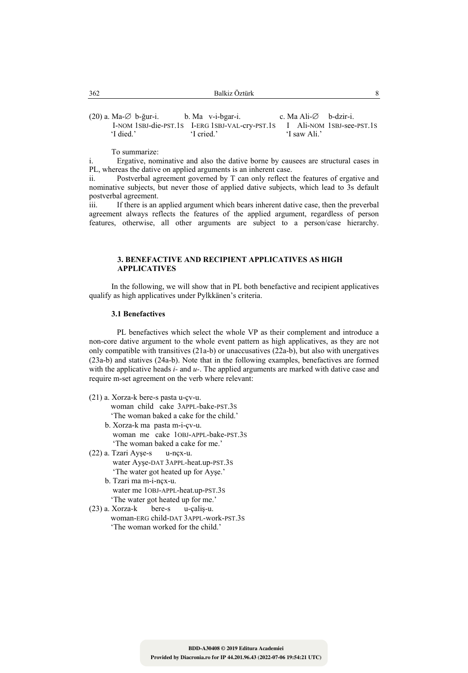| 362 | Balkiz Öztürk<br>______ |  |
|-----|-------------------------|--|
|     |                         |  |

(20) a. Ma-∅ b-ğur-i. b. Ma v-i-bgar-i. c. Ma Ali-∅ b-dzir-i.<br>I-NOM 1SBJ-die-PST.1S I-ERG 1SBJ-VAL-crv-PST.1S I Ali-NOM 1SBJ-see-PST.1S I-NOM 1SBJ-die-PST.1S I-ERG 1SBJ-VAL-cry-PST.1S 'I died.' <br>'I cried.' 'I cried.' 'I saw Ali.'

To summarize:

i. Ergative, nominative and also the dative borne by causees are structural cases in PL, whereas the dative on applied arguments is an inherent case.

ii. Postverbal agreement governed by T can only reflect the features of ergative and nominative subjects, but never those of applied dative subjects, which lead to 3s default postverbal agreement.

iii. If there is an applied argument which bears inherent dative case, then the preverbal agreement always reflects the features of the applied argument, regardless of person features, otherwise, all other arguments are subject to a person/case hierarchy.

### **3. BENEFACTIVE AND RECIPIENT APPLICATIVES AS HIGH APPLICATIVES**

In the following, we will show that in PL both benefactive and recipient applicatives qualify as high applicatives under Pylkkänen's criteria.

#### **3.1 Benefactives**

 PL benefactives which select the whole VP as their complement and introduce a non-core dative argument to the whole event pattern as high applicatives, as they are not only compatible with transitives (21a-b) or unaccusatives (22a-b), but also with unergatives (23a-b) and statives (24a-b). Note that in the following examples, benefactives are formed with the applicative heads *i-* and *u-*. The applied arguments are marked with dative case and require m-set agreement on the verb where relevant:

- (21) a. Xorza-k bere-s pasta u-çv-u. woman child cake 3APPL-bake-PST.3S 'The woman baked a cake for the child.'
	- b. Xorza-k ma pasta m-i-çv-u. woman me cake 1OBJ-APPL-bake-PST.3S 'The woman baked a cake for me.'
- (22) a. Tzari Ayşe-s u-nçx-u. water Ayşe-DAT 3APPL-heat.up-PST.3S 'The water got heated up for Ayşe.'
	- b. Tzari ma m-i-nçx-u. water me 1OBJ-APPL-heat.up-PST.3S 'The water got heated up for me.'
- (23) a. Xorza-k bere-s u-çaliş-u. woman-ERG child-DAT 3APPL-work-PST.3S 'The woman worked for the child.'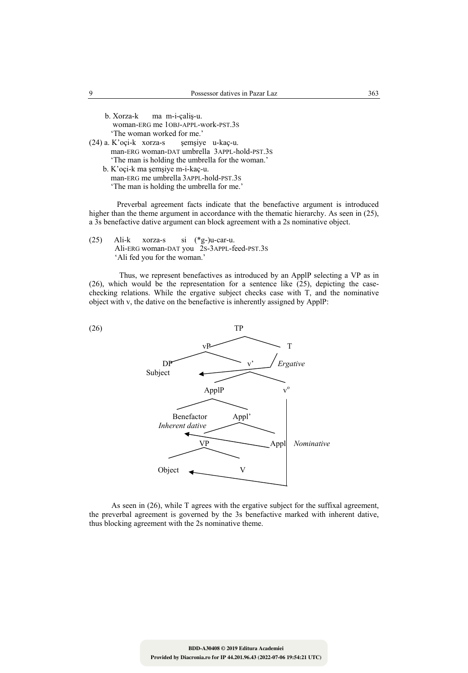| b. Xorza-k ma m-i-calis-u.                       |
|--------------------------------------------------|
| woman-ERG me 10BJ-APPL-work-PST.3S               |
| 'The woman worked for me.'                       |
| $(24)$ a. K'oçi-k xorza-s semşiye u-kaç-u.       |
| man-ERG woman-DAT umbrella 3APPL-hold-PST.3S     |
| 'The man is holding the umbrella for the woman.' |
| b. K'oçi-k ma şemşiye m-i-kaç-u.                 |
| man-ERG me umbrella 3APPL-hold-PST.3S            |

'The man is holding the umbrella for me.'

 Preverbal agreement facts indicate that the benefactive argument is introduced higher than the theme argument in accordance with the thematic hierarchy. As seen in (25), a 3s benefactive dative argument can block agreement with a 2s nominative object.

(25) Ali-k xorza-s si (\*g-)u-car-u. Ali-ERG woman-DAT you 2S-3APPL-feed-PST.3S 'Ali fed you for the woman.'

 Thus, we represent benefactives as introduced by an ApplP selecting a VP as in (26), which would be the representation for a sentence like  $(25)$ , depicting the casechecking relations. While the ergative subject checks case with T, and the nominative object with v, the dative on the benefactive is inherently assigned by ApplP:



As seen in (26), while T agrees with the ergative subject for the suffixal agreement, the preverbal agreement is governed by the 3s benefactive marked with inherent dative, thus blocking agreement with the 2s nominative theme.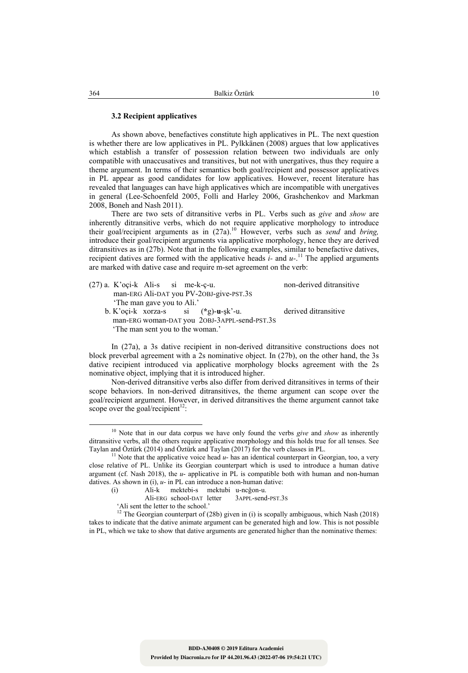#### **3.2 Recipient applicatives**

As shown above, benefactives constitute high applicatives in PL. The next question is whether there are low applicatives in PL. Pylkkänen (2008) argues that low applicatives which establish a transfer of possession relation between two individuals are only compatible with unaccusatives and transitives, but not with unergatives, thus they require a theme argument. In terms of their semantics both goal/recipient and possessor applicatives in PL appear as good candidates for low applicatives. However, recent literature has revealed that languages can have high applicatives which are incompatible with unergatives in general (Lee-Schoenfeld 2005, Folli and Harley 2006, Grashchenkov and Markman 2008, Boneh and Nash 2011).

There are two sets of ditransitive verbs in PL. Verbs such as *give* and *show* are inherently ditransitive verbs, which do not require applicative morphology to introduce their goal/recipient arguments as in (27a).10 However, verbs such as *send* and *bring,* introduce their goal/recipient arguments via applicative morphology, hence they are derived ditransitives as in (27b). Note that in the following examples, similar to benefactive datives, recipient datives are formed with the applicative heads  $i$ - and  $u$ <sup>-11</sup>. The applied arguments are marked with dative case and require m-set agreement on the verb:

| $(27)$ a. K'oçi-k Ali-s si me-k-ç-u.         | non-derived ditransitive |
|----------------------------------------------|--------------------------|
| man-ERG Ali-DAT you PV-20BJ-give-PST.3S      |                          |
| 'The man gave you to Ali.'                   |                          |
| b. K'oci-k xorza-s si $(*g)$ -u-sk'-u.       | derived ditransitive     |
| man-ERG woman-DAT you 2OBJ-3APPL-send-PST.3S |                          |
| The man sent you to the woman.'              |                          |
|                                              |                          |

In (27a), a 3s dative recipient in non-derived ditransitive constructions does not block preverbal agreement with a 2s nominative object. In (27b), on the other hand, the 3s dative recipient introduced via applicative morphology blocks agreement with the 2s nominative object, implying that it is introduced higher.

Non-derived ditransitive verbs also differ from derived ditransitives in terms of their scope behaviors. In non-derived ditransitives, the theme argument can scope over the goal/recipient argument. However, in derived ditransitives the theme argument cannot take scope over the goal/recipient $12$ :

 <sup>10</sup> Note that in our data corpus we have only found the verbs *give* and *show* as inherently ditransitive verbs, all the others require applicative morphology and this holds true for all tenses. See Taylan and Öztürk (2014) and Öztürk and Taylan (2017) for the verb classes in PL.

<sup>&</sup>lt;sup>11</sup> Note that the applicative voice head  $u$ - has an identical counterpart in Georgian, too, a very close relative of PL. Unlike its Georgian counterpart which is used to introduce a human dative argument (cf. Nash 2018), the *u*- applicative in PL is compatible both with human and non-human datives. As shown in (i),  $u$ - in PL can introduce a non-human dative:<br>(i) Ali-k mektebi-s mektubi u-nc*ě*on-u.

<sup>(</sup>i) Ali-k mektebi-s mektubi u-ncğon-u.

Ali-ERG school-DAT letter<br>Ali sent the letter to the school.'

<sup>&</sup>lt;sup>12</sup> The Georgian counterpart of (28b) given in (i) is scopally ambiguous, which Nash (2018) takes to indicate that the dative animate argument can be generated high and low. This is not possible in PL, which we take to show that dative arguments are generated higher than the nominative themes: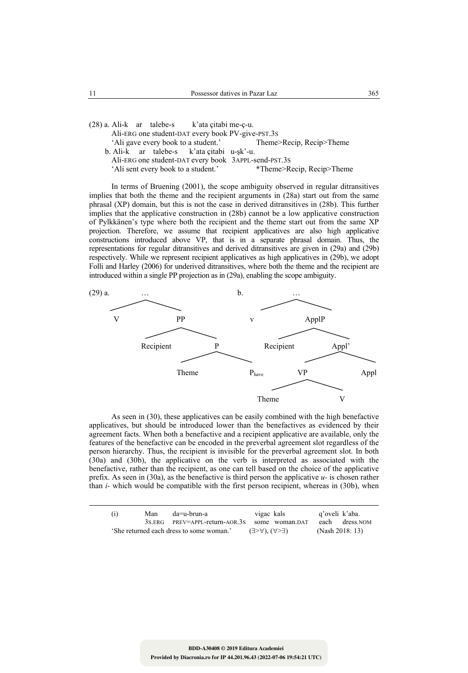(28) a. Ali-k ar talebe-s k'ata çitabi me-ç-u. Ali-ERG one student-DAT every book PV-give-PST.3S 'Ali gave every book to a student.' Theme>Recip, Recip>Theme b. Ali-k ar talebe-s k'ata çitabi u-şk'-u. Ali-ERG one student-DAT every book 3APPL-send-PST.3S<br>
'Ali sent every book to a student.' \*Theme>Recip, Recip>Theme 'Ali sent every book to a student.'

In terms of Bruening (2001), the scope ambiguity observed in regular ditransitives implies that both the theme and the recipient arguments in (28a) start out from the same phrasal (XP) domain, but this is not the case in derived ditransitives in (28b). This further implies that the applicative construction in (28b) cannot be a low applicative construction of Pylkkänen's type where both the recipient and the theme start out from the same XP projection. Therefore, we assume that recipient applicatives are also high applicative constructions introduced above VP, that is in a separate phrasal domain. Thus, the representations for regular ditransitives and derived ditransitives are given in (29a) and (29b) respectively. While we represent recipient applicatives as high applicatives in (29b), we adopt Folli and Harley (2006) for underived ditransitives, where both the theme and the recipient are introduced within a single PP projection as in (29a), enabling the scope ambiguity.



As seen in (30), these applicatives can be easily combined with the high benefactive applicatives, but should be introduced lower than the benefactives as evidenced by their agreement facts. When both a benefactive and a recipient applicative are available, only the features of the benefactive can be encoded in the preverbal agreement slot regardless of the person hierarchy. Thus, the recipient is invisible for the preverbal agreement slot. In both (30a) and (30b), the applicative on the verb is interpreted as associated with the benefactive, rather than the recipient, as one can tell based on the choice of the applicative prefix. As seen in (30a), as the benefactive is third person the applicative *u-* is chosen rather than *i-* which would be compatible with the first person recipient, whereas in (30b), when

| vigac kals<br>q'oveli k'aba.<br>da=u-brun-a<br>Man<br>(1)                                                                                                                             |  |  |  |  |
|---------------------------------------------------------------------------------------------------------------------------------------------------------------------------------------|--|--|--|--|
| each dress. NOM<br>$3s$ ERG PREV=APPL-return-AOR.3s<br>some woman.DAT<br>(Nash 2018: 13)<br>'She returned each dress to some woman.'<br>$(\exists > \forall)$ , $(\forall > \exists)$ |  |  |  |  |

**Provided by Diacronia.ro for IP 44.201.96.43 (2022-07-06 19:54:21 UTC)**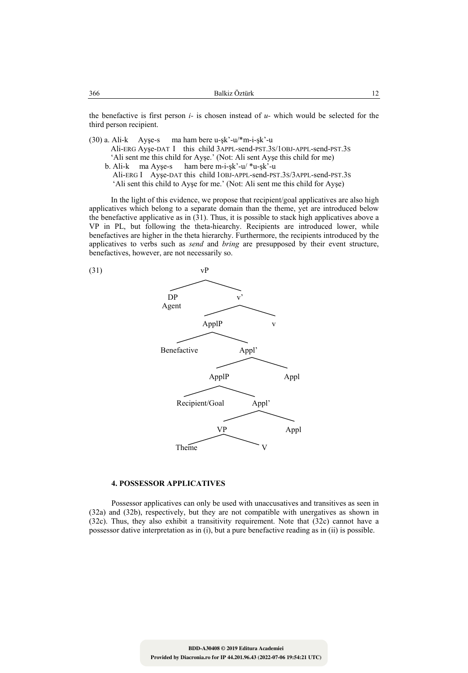the benefactive is first person *i-* is chosen instead of *u-* which would be selected for the third person recipient.

(30) a. Ali-k Ayşe-s ma ham bere u-şk'-u/\*m-i-şk'-u Ali-ERG Ayşe-DAT I this child 3APPL-send-PST.3S/1OBJ-APPL-send-PST.3S 'Ali sent me this child for Ayşe.' (Not: Ali sent Ayşe this child for me)<br>b. Ali-k ma Ayse-s ham bere m-i-sk'-u/ $*u$ -sk'-u ham bere m-i-şk'-u/ $*u$ -şk'-u Ali-ERG I Ayşe-DAT this child 1OBJ-APPL-send-PST.3S/3APPL-send-PST.3S

'Ali sent this child to Ayşe for me.' (Not: Ali sent me this child for Ayşe)

In the light of this evidence, we propose that recipient/goal applicatives are also high applicatives which belong to a separate domain than the theme, yet are introduced below the benefactive applicative as in (31). Thus, it is possible to stack high applicatives above a VP in PL, but following the theta-hiearchy. Recipients are introduced lower, while benefactives are higher in the theta hierarchy. Furthermore, the recipients introduced by the applicatives to verbs such as *send* and *bring* are presupposed by their event structure, benefactives, however, are not necessarily so.



## **4. POSSESSOR APPLICATIVES**

Possessor applicatives can only be used with unaccusatives and transitives as seen in (32a) and (32b), respectively, but they are not compatible with unergatives as shown in (32c). Thus, they also exhibit a transitivity requirement. Note that (32c) cannot have a possessor dative interpretation as in (i), but a pure benefactive reading as in (ii) is possible.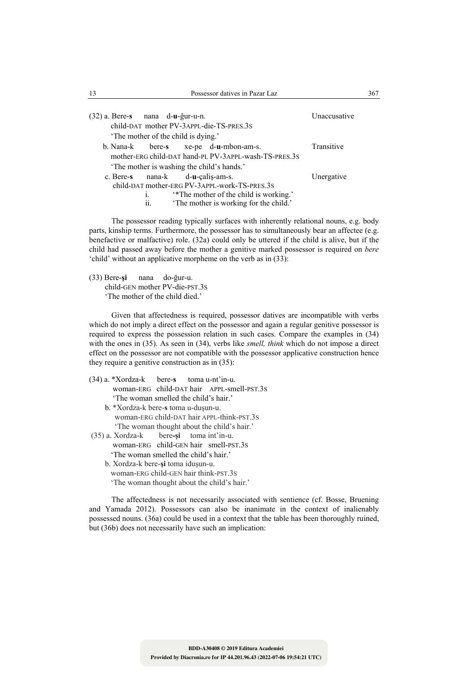| 13                               |                                   | Possessor datives in Pazar Laz                        |              | 367 |
|----------------------------------|-----------------------------------|-------------------------------------------------------|--------------|-----|
| (32) a. Bere-s nana d-u-ğur-u-n. |                                   |                                                       | Unaccusative |     |
|                                  |                                   | child-DAT mother PV-3APPL-die-TS-PRES.3S              |              |     |
|                                  | The mother of the child is dying. |                                                       |              |     |
| b. Nana-k                        |                                   | bere-s xe-pe d-u-mbon-am-s.                           | Transitive   |     |
|                                  |                                   | mother-ERG child-DAT hand-PL PV-3APPL-wash-TS-PRES.3S |              |     |
|                                  |                                   | 'The mother is washing the child's hands.'            |              |     |
| c. Bere-s                        | $nana-k$ $d-u-calis-am-s$ .       |                                                       | Unergative   |     |
|                                  |                                   | child-DAT mother-ERG PV-3APPL-work-TS-PRES.3S         |              |     |
|                                  | $\mathbf{1}$                      | *The mother of the child is working.                  |              |     |
|                                  | ii.                               | 'The mother is working for the child.'                |              |     |

The possessor reading typically surfaces with inherently relational nouns, e.g. body parts, kinship terms. Furthermore, the possessor has to simultaneously bear an affectee (e.g. benefactive or malfactive) role. (32a) could only be uttered if the child is alive, but if the child had passed away before the mother a genitive marked possessor is required on *bere* 'child' without an applicative morpheme on the verb as in (33):

(33) Bere-**şi** nana do-ğur-u. child-GEN mother PV-die-PST.3S 'The mother of the child died.'

Given that affectedness is required, possessor datives are incompatible with verbs which do not imply a direct effect on the possessor and again a regular genitive possessor is required to express the possession relation in such cases. Compare the examples in (34) with the ones in (35). As seen in (34), verbs like *smell, think* which do not impose a direct effect on the possessor are not compatible with the possessor applicative construction hence they require a genitive construction as in (35):

- (34) a. \*Xordza-k bere-**s** toma u-nt'in-u. woman-ERG child-DAT hair APPL-smell-PST.3S 'The woman smelled the child's hair.' b. \*Xordza-k bere-**s** toma u-duşun-u.
	- woman-ERG child-DAT hair APPL-think-PST.3S 'The woman thought about the child's hair.'
- (35) a. Xordza-k bere**-şi** toma int'in-u. woman-ERG child-GEN hair smell-PST.3S 'The woman smelled the child's hair.'
	- b. Xordza-k bere-**şi** toma iduşun-u. woman-ERG child-GEN hair think-PST.3S 'The woman thought about the child's hair.'

The affectedness is not necessarily associated with sentience (cf. Bosse, Bruening and Yamada 2012). Possessors can also be inanimate in the context of inalienably possessed nouns. (36a) could be used in a context that the table has been thoroughly ruined, but (36b) does not necessarily have such an implication: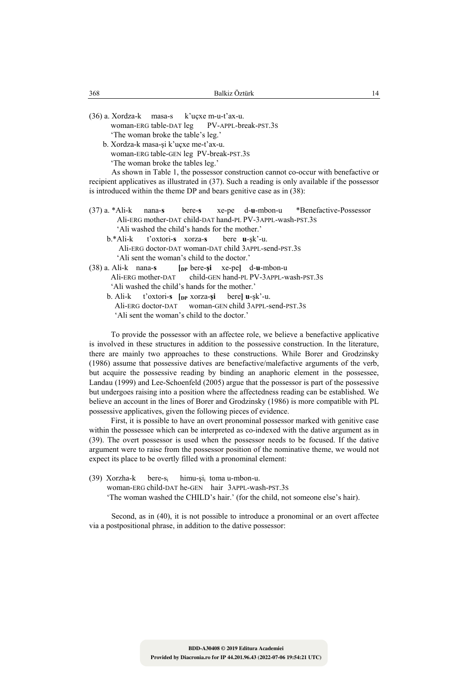(36) a. Xordza-k masa-s k'uçxe m-u-t'ax-u. woman-ERG table-DAT leg PV-APPL-break-PST.3S 'The woman broke the table's leg.'

 b. Xordza-k masa-şi k'uçxe me-t'ax-u. woman-ERG table-GEN leg PV-break-PST.3S 'The woman broke the tables leg.'

As shown in Table 1, the possessor construction cannot co-occur with benefactive or recipient applicatives as illustrated in (37). Such a reading is only available if the possessor is introduced within the theme DP and bears genitive case as in (38):

- (37) a. \*Ali-k nana-**s** bere-**s** xe-pe d-**u**-mbon-u \*Benefactive-Possessor Ali-ERG mother-DAT child-DAT hand-PL PV-3APPL-wash-PST.3S 'Ali washed the child's hands for the mother.'
	- b.\*Ali-k t'oxtori-**s** xorza-**s** bere **u**-şk'-u. Ali-ERG doctor-DAT woman-DAT child 3APPL-send-PST.3S
- 'Ali sent the woman's child to the doctor.'<br>(38) a. Ali-k nana-s  $\int_{\text{Inp}}$  bere-si xe-pel (38) a. Ali-k nana-**s [DP** bere-**şi** xe-pe**]** d-**u**-mbon-u Ali-ERG mother-DAT child-GEN hand-PL PV-3APPL-wash-PST.3S 'Ali washed the child's hands for the mother.' b. Ali-k t'oxtori-**s [DP** xorza-**şi** bere**] u**-şk'-u.
	- woman-GEN child 3APPL-send-PST.3S 'Ali sent the woman's child to the doctor.'

To provide the possessor with an affectee role, we believe a benefactive applicative is involved in these structures in addition to the possessive construction. In the literature, there are mainly two approaches to these constructions. While Borer and Grodzinsky (1986) assume that possessive datives are benefactive/malefactive arguments of the verb, but acquire the possessive reading by binding an anaphoric element in the possessee, Landau (1999) and Lee-Schoenfeld (2005) argue that the possessor is part of the possessive but undergoes raising into a position where the affectedness reading can be established. We believe an account in the lines of Borer and Grodzinsky (1986) is more compatible with PL possessive applicatives, given the following pieces of evidence.

First, it is possible to have an overt pronominal possessor marked with genitive case within the possessee which can be interpreted as co-indexed with the dative argument as in (39). The overt possessor is used when the possessor needs to be focused. If the dative argument were to raise from the possessor position of the nominative theme, we would not expect its place to be overtly filled with a pronominal element:

(39) Xorzha-k bere-s<sub>i</sub> himu-şi<sub>i</sub> toma u-mbon-u. woman-ERG child-DAT he-GEN hair 3APPL-wash-PST.3S 'The woman washed the CHILD's hair.' (for the child, not someone else's hair).

Second, as in (40), it is not possible to introduce a pronominal or an overt affectee via a postpositional phrase, in addition to the dative possessor: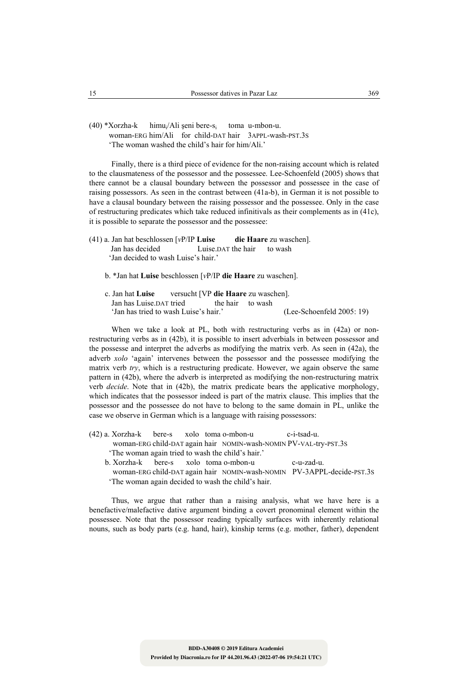(40) \*Xorzha-k himui/Ali şeni bere-si toma u-mbon-u. woman-ERG him/Ali for child-DAT hair 3APPL-wash-PST.3S 'The woman washed the child's hair for him/Ali.'

Finally, there is a third piece of evidence for the non-raising account which is related to the clausmateness of the possessor and the possessee. Lee-Schoenfeld (2005) shows that there cannot be a clausal boundary between the possessor and possessee in the case of raising possessors. As seen in the contrast between (41a-b), in German it is not possible to have a clausal boundary between the raising possessor and the possessee. Only in the case of restructuring predicates which take reduced infinitivals as their complements as in (41c), it is possible to separate the possessor and the possessee:

- (41) a. Jan hat beschlossen [*v*P/IP **Luise die Haare** zu waschen]. Jan has decided Luise.DAT the hair to wash 'Jan decided to wash Luise's hair.'
	- b. \*Jan hat **Luise** beschlossen [*v*P/IP **die Haare** zu waschen].
	- c. Jan hat **Luise** versucht [VP **die Haare** zu waschen]. Jan has Luise. DAT tried the hair to wash 'Jan has tried to wash Luise's hair.' (Lee-Schoenfeld 2005: 19)

When we take a look at PL, both with restructuring verbs as in  $(42a)$  or nonrestructuring verbs as in (42b), it is possible to insert adverbials in between possessor and the possesse and interpret the adverbs as modifying the matrix verb. As seen in (42a), the adverb *xolo* 'again' intervenes between the possessor and the possessee modifying the matrix verb *try*, which is a restructuring predicate. However, we again observe the same pattern in (42b), where the adverb is interpreted as modifying the non-restructuring matrix verb *decide*. Note that in (42b), the matrix predicate bears the applicative morphology, which indicates that the possessor indeed is part of the matrix clause. This implies that the possessor and the possessee do not have to belong to the same domain in PL, unlike the case we observe in German which is a language with raising possessors:

- (42) a. Xorzha-k bere-s xolo toma o-mbon-u c-i-tsad-u. woman-ERG child-DAT again hair NOMIN-wash-NOMIN PV-VAL-try-PST.3S 'The woman again tried to wash the child's hair.'
	- b. Xorzha-k bere-s xolo toma o-mbon-u c-u-zad-u. woman-ERG child-DAT again hair NOMIN-wash-NOMIN PV-3APPL-decide-PST.3S 'The woman again decided to wash the child's hair.

Thus, we argue that rather than a raising analysis, what we have here is a benefactive/malefactive dative argument binding a covert pronominal element within the possessee. Note that the possessor reading typically surfaces with inherently relational nouns, such as body parts (e.g. hand, hair), kinship terms (e.g. mother, father), dependent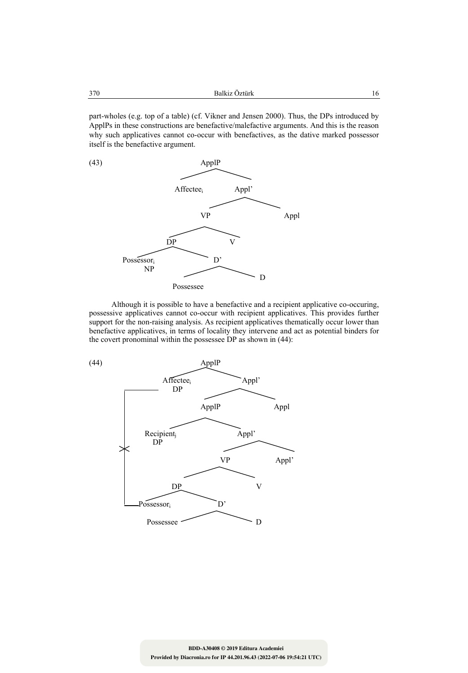part-wholes (e.g. top of a table) (cf. Vikner and Jensen 2000). Thus, the DPs introduced by ApplPs in these constructions are benefactive/malefactive arguments. And this is the reason why such applicatives cannot co-occur with benefactives, as the dative marked possessor itself is the benefactive argument.



Although it is possible to have a benefactive and a recipient applicative co-occuring, possessive applicatives cannot co-occur with recipient applicatives. This provides further support for the non-raising analysis. As recipient applicatives thematically occur lower than benefactive applicatives, in terms of locality they intervene and act as potential binders for the covert pronominal within the possessee DP as shown in (44):

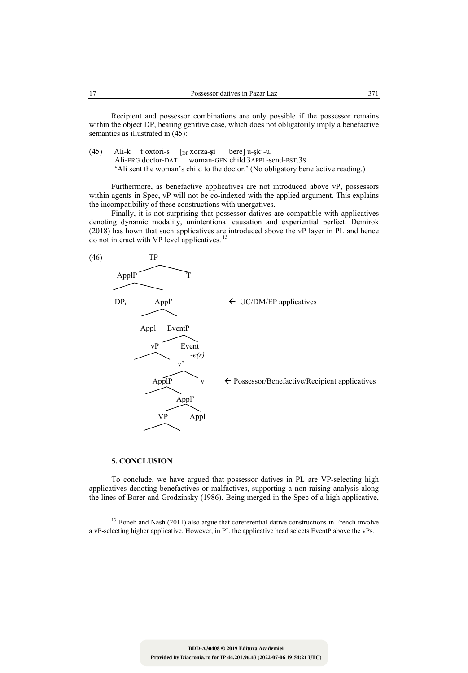Recipient and possessor combinations are only possible if the possessor remains within the object DP, bearing genitive case, which does not obligatorily imply a benefactive semantics as illustrated in  $(45)$ :

(45) Ali-k t'oxtori-s [DP xorza-**şi** bere] u-şk'-u. Ali-ERG doctor-DAT woman-GEN child 3APPL-send-PST.3S 'Ali sent the woman's child to the doctor.' (No obligatory benefactive reading.)

Furthermore, as benefactive applicatives are not introduced above vP, possessors within agents in Spec, vP will not be co-indexed with the applied argument. This explains the incompatibility of these constructions with unergatives.

Finally, it is not surprising that possessor datives are compatible with applicatives denoting dynamic modality, unintentional causation and experiential perfect. Demirok (2018) has hown that such applicatives are introduced above the vP layer in PL and hence do not interact with VP level applicatives.<sup>13</sup>



### **5. CONCLUSION**

To conclude, we have argued that possessor datives in PL are VP-selecting high applicatives denoting benefactives or malfactives, supporting a non-raising analysis along the lines of Borer and Grodzinsky (1986). Being merged in the Spec of a high applicative,

<sup>&</sup>lt;sup>13</sup> Boneh and Nash (2011) also argue that coreferential dative constructions in French involve a vP-selecting higher applicative. However, in PL the applicative head selects EventP above the vPs.